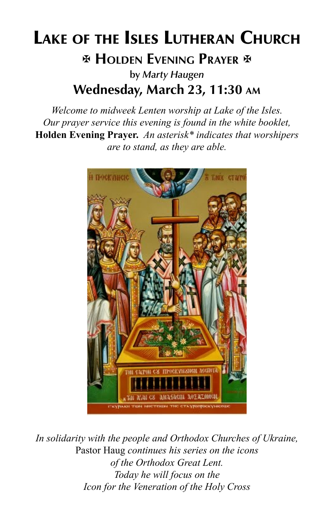# Lake of the Isles Lutheran Church **EX HOLDEN EVENING PRAYER E** by *Marty Haugen* Wednesday, March 23, 11:30 am

*Welcome to midweek Lenten worship at Lake of the Isles. Our prayer service this evening is found in the white booklet,*  **Holden Evening Prayer.** *An asterisk\* indicates that worshipers are to stand, as they are able.*



*In solidarity with the people and Orthodox Churches of Ukraine,*  Pastor Haug *continues his series on the icons of the Orthodox Great Lent. Today he will focus on the Icon for the Veneration of the Holy Cross*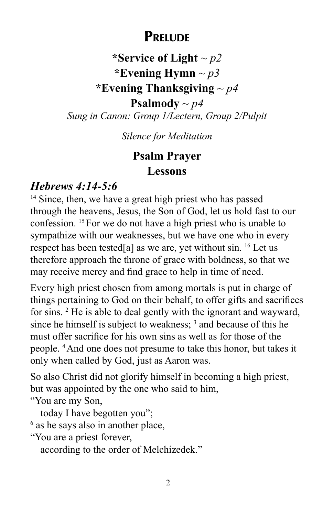## **PRELUDE**

### **\*Service of Light** *~ p2* **\*Evening Hymn** *~ p3* **\*Evening Thanksgiving** *~ p4* **Psalmody**  $\sim p4$ *Sung in Canon: Group 1/Lectern, Group 2/Pulpit*

*Silence for Meditation*

## **Psalm Prayer Lessons**

#### *Hebrews 4:14-5:6*

<sup>14</sup> Since, then, we have a great high priest who has passed through the heavens, Jesus, the Son of God, let us hold fast to our confession. 15 For we do not have a high priest who is unable to sympathize with our weaknesses, but we have one who in every respect has been tested[a] as we are, yet without sin. 16 Let us therefore approach the throne of grace with boldness, so that we may receive mercy and find grace to help in time of need.

Every high priest chosen from among mortals is put in charge of things pertaining to God on their behalf, to offer gifts and sacrifices for sins. 2 He is able to deal gently with the ignorant and wayward, since he himself is subject to weakness; <sup>3</sup> and because of this he must offer sacrifice for his own sins as well as for those of the people. 4 And one does not presume to take this honor, but takes it only when called by God, just as Aaron was.

So also Christ did not glorify himself in becoming a high priest, but was appointed by the one who said to him,

"You are my Son,

today I have begotten you";

<sup>6</sup> as he says also in another place,

"You are a priest forever,

according to the order of Melchizedek."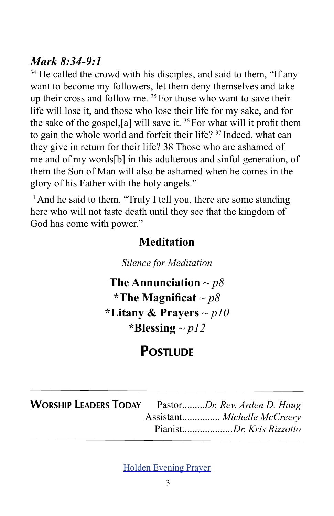#### *Mark 8:34-9:1*

<sup>34</sup> He called the crowd with his disciples, and said to them, "If any want to become my followers, let them deny themselves and take up their cross and follow me. 35 For those who want to save their life will lose it, and those who lose their life for my sake, and for the sake of the gospel,[a] will save it. 36 For what will it profit them to gain the whole world and forfeit their life? 37 Indeed, what can they give in return for their life? 38 Those who are ashamed of me and of my words[b] in this adulterous and sinful generation, of them the Son of Man will also be ashamed when he comes in the glory of his Father with the holy angels."

<sup>1</sup> And he said to them, "Truly I tell you, there are some standing here who will not taste death until they see that the kingdom of God has come with power."

#### **Meditation**

*Silence for Meditation*

**The Annunciation** *~ p8* **\*The Magnificat** *~ p8* **\*Litany & Prayers** *~ p10* **\*Blessing** *~ p12*

## **POSTILIDE**

| <b>WORSHIP LEADERS TODAY</b> PastorDr. Rev. Arden D. Haug |                             |
|-----------------------------------------------------------|-----------------------------|
|                                                           | Assistant Michelle McCreery |
|                                                           | PianistDr. Kris Rizzotto    |